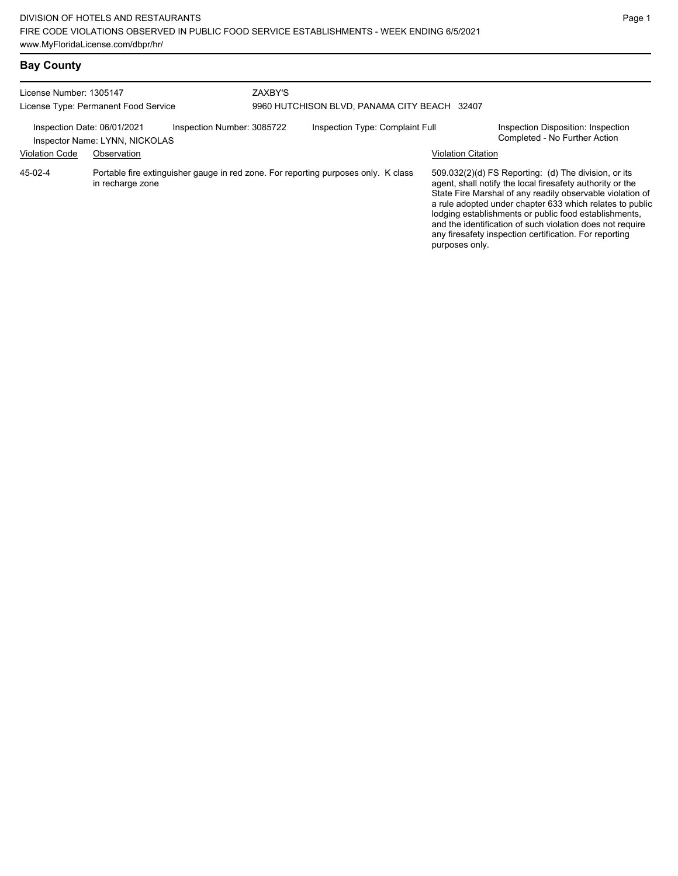| License Number: 1305147<br>License Type: Permanent Food Service |                                               |                                                                                    | ZAXBY'S<br>9960 HUTCHISON BLVD, PANAMA CITY BEACH 32407 |                                 |  |                           |                                                                                                                                                                                                                                                                                                                                                                                                                            |
|-----------------------------------------------------------------|-----------------------------------------------|------------------------------------------------------------------------------------|---------------------------------------------------------|---------------------------------|--|---------------------------|----------------------------------------------------------------------------------------------------------------------------------------------------------------------------------------------------------------------------------------------------------------------------------------------------------------------------------------------------------------------------------------------------------------------------|
| Inspection Date: 06/01/2021<br><b>Violation Code</b>            | Inspector Name: LYNN, NICKOLAS<br>Observation | Inspection Number: 3085722                                                         |                                                         | Inspection Type: Complaint Full |  | <b>Violation Citation</b> | Inspection Disposition: Inspection<br>Completed - No Further Action                                                                                                                                                                                                                                                                                                                                                        |
| 45-02-4                                                         | in recharge zone                              | Portable fire extinguisher gauge in red zone. For reporting purposes only. K class |                                                         |                                 |  | purposes only.            | 509.032(2)(d) FS Reporting: (d) The division, or its<br>agent, shall notify the local firesafety authority or the<br>State Fire Marshal of any readily observable violation of<br>a rule adopted under chapter 633 which relates to public<br>lodging establishments or public food establishments,<br>and the identification of such violation does not require<br>any firesafety inspection certification. For reporting |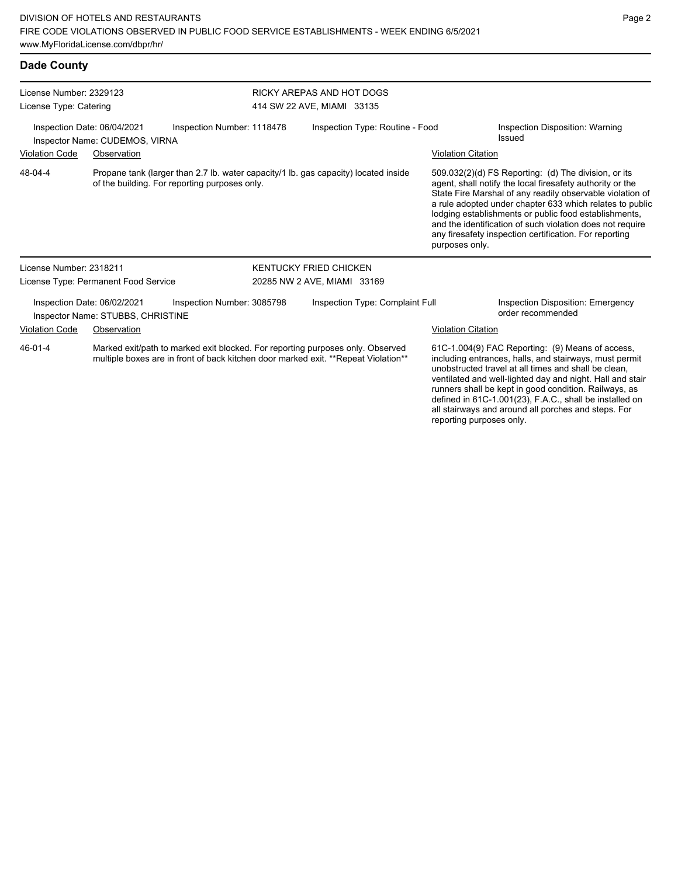| <b>Dade County</b>                                                                                                                              |                                                                                                                                                                      |                            |                                                         |                                                                                                                                                                                                                                                                                                                                                                                                                                              |                                                                                                                                                                                                                                 |  |  |
|-------------------------------------------------------------------------------------------------------------------------------------------------|----------------------------------------------------------------------------------------------------------------------------------------------------------------------|----------------------------|---------------------------------------------------------|----------------------------------------------------------------------------------------------------------------------------------------------------------------------------------------------------------------------------------------------------------------------------------------------------------------------------------------------------------------------------------------------------------------------------------------------|---------------------------------------------------------------------------------------------------------------------------------------------------------------------------------------------------------------------------------|--|--|
| License Number: 2329123<br>License Type: Catering                                                                                               |                                                                                                                                                                      |                            | RICKY AREPAS AND HOT DOGS<br>414 SW 22 AVE, MIAMI 33135 |                                                                                                                                                                                                                                                                                                                                                                                                                                              |                                                                                                                                                                                                                                 |  |  |
|                                                                                                                                                 | Inspection Date: 06/04/2021<br>Inspector Name: CUDEMOS, VIRNA                                                                                                        | Inspection Number: 1118478 | Inspection Type: Routine - Food                         |                                                                                                                                                                                                                                                                                                                                                                                                                                              | Inspection Disposition: Warning<br>Issued                                                                                                                                                                                       |  |  |
| <b>Violation Code</b>                                                                                                                           | Observation                                                                                                                                                          |                            |                                                         | <b>Violation Citation</b>                                                                                                                                                                                                                                                                                                                                                                                                                    |                                                                                                                                                                                                                                 |  |  |
| 48-04-4<br>Propane tank (larger than 2.7 lb. water capacity/1 lb. gas capacity) located inside<br>of the building. For reporting purposes only. |                                                                                                                                                                      |                            |                                                         | 509.032(2)(d) FS Reporting: (d) The division, or its<br>agent, shall notify the local firesafety authority or the<br>State Fire Marshal of any readily observable violation of<br>a rule adopted under chapter 633 which relates to public<br>lodging establishments or public food establishments,<br>and the identification of such violation does not require<br>any firesafety inspection certification. For reporting<br>purposes only. |                                                                                                                                                                                                                                 |  |  |
| License Number: 2318211                                                                                                                         |                                                                                                                                                                      |                            | KENTUCKY FRIED CHICKEN                                  |                                                                                                                                                                                                                                                                                                                                                                                                                                              |                                                                                                                                                                                                                                 |  |  |
|                                                                                                                                                 | License Type: Permanent Food Service                                                                                                                                 |                            | 20285 NW 2 AVE, MIAMI 33169                             |                                                                                                                                                                                                                                                                                                                                                                                                                                              |                                                                                                                                                                                                                                 |  |  |
|                                                                                                                                                 | Inspection Date: 06/02/2021<br>Inspector Name: STUBBS, CHRISTINE                                                                                                     | Inspection Number: 3085798 | Inspection Type: Complaint Full                         |                                                                                                                                                                                                                                                                                                                                                                                                                                              | <b>Inspection Disposition: Emergency</b><br>order recommended                                                                                                                                                                   |  |  |
| <b>Violation Code</b>                                                                                                                           | Observation                                                                                                                                                          |                            |                                                         | <b>Violation Citation</b>                                                                                                                                                                                                                                                                                                                                                                                                                    |                                                                                                                                                                                                                                 |  |  |
| 46-01-4                                                                                                                                         | Marked exit/path to marked exit blocked. For reporting purposes only. Observed<br>multiple boxes are in front of back kitchen door marked exit. **Repeat Violation** |                            |                                                         |                                                                                                                                                                                                                                                                                                                                                                                                                                              | 61C-1.004(9) FAC Reporting: (9) Means of access,<br>including entrances, halls, and stairways, must permit<br>unobstructed travel at all times and shall be clean.<br>ventilated and well-lighted day and night. Hall and stair |  |  |

runners shall be kept in good condition. Railways, as defined in 61C-1.001(23), F.A.C., shall be installed on all stairways and around all porches and steps. For

reporting purposes only.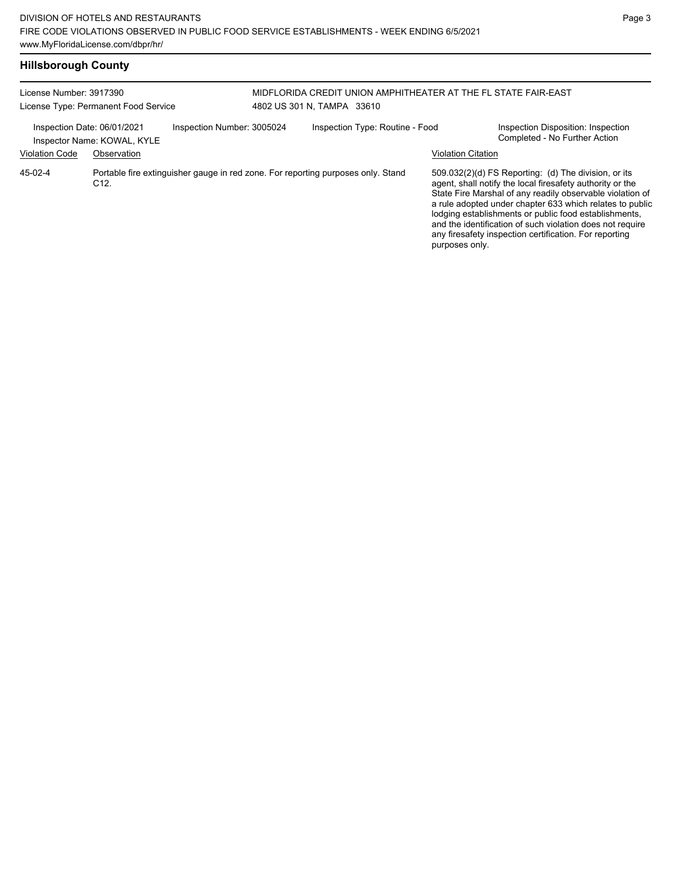| License Number: 3917390<br>License Type: Permanent Food Service                          |                 |  | MIDFLORIDA CREDIT UNION AMPHITHEATER AT THE FL STATE FAIR-EAST<br>4802 US 301 N. TAMPA 33610 |                                                                                  |                           |                                                                                                                                                                                                                                                                                                                                                                                                                            |
|------------------------------------------------------------------------------------------|-----------------|--|----------------------------------------------------------------------------------------------|----------------------------------------------------------------------------------|---------------------------|----------------------------------------------------------------------------------------------------------------------------------------------------------------------------------------------------------------------------------------------------------------------------------------------------------------------------------------------------------------------------------------------------------------------------|
| Inspection Number: 3005024<br>Inspection Date: 06/01/2021<br>Inspector Name: KOWAL, KYLE |                 |  |                                                                                              | Inspection Type: Routine - Food                                                  |                           | Inspection Disposition: Inspection<br>Completed - No Further Action                                                                                                                                                                                                                                                                                                                                                        |
| <b>Violation Code</b>                                                                    | Observation     |  |                                                                                              |                                                                                  | <b>Violation Citation</b> |                                                                                                                                                                                                                                                                                                                                                                                                                            |
| 45-02-4                                                                                  | C <sub>12</sub> |  |                                                                                              | Portable fire extinguisher gauge in red zone. For reporting purposes only. Stand | purposes only.            | 509.032(2)(d) FS Reporting: (d) The division, or its<br>agent, shall notify the local firesafety authority or the<br>State Fire Marshal of any readily observable violation of<br>a rule adopted under chapter 633 which relates to public<br>lodging establishments or public food establishments,<br>and the identification of such violation does not require<br>any firesafety inspection certification. For reporting |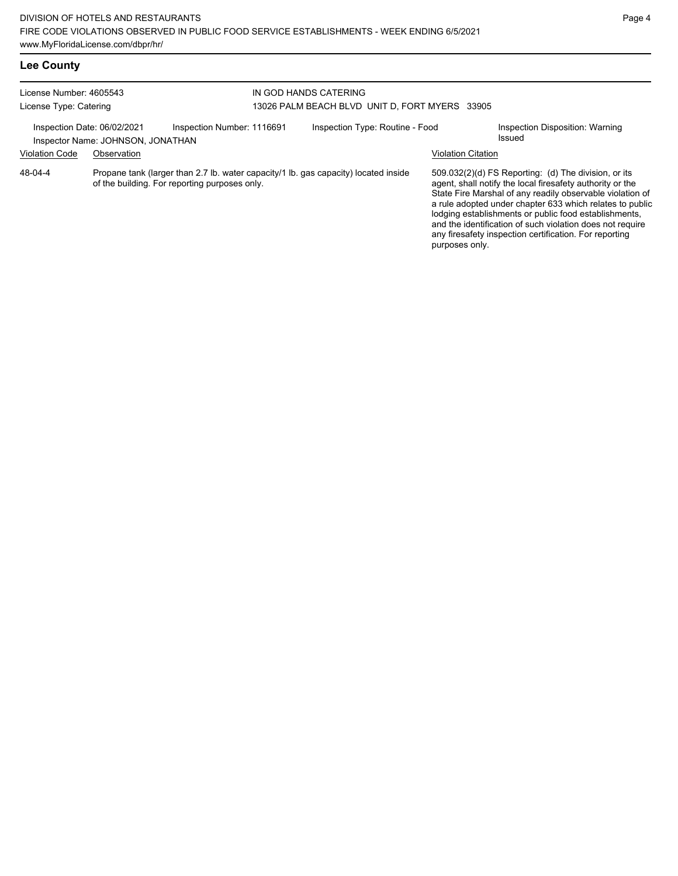## **Lee County**

| License Number: 4605543<br>License Type: Catering                |             |                                                                                                                                      | IN GOD HANDS CATERING<br>13026 PALM BEACH BLVD UNIT D. FORT MYERS 33905 |                                 |                                                                                                                                                                                                                                                                                                                                                                                                                                                |                                           |  |
|------------------------------------------------------------------|-------------|--------------------------------------------------------------------------------------------------------------------------------------|-------------------------------------------------------------------------|---------------------------------|------------------------------------------------------------------------------------------------------------------------------------------------------------------------------------------------------------------------------------------------------------------------------------------------------------------------------------------------------------------------------------------------------------------------------------------------|-------------------------------------------|--|
| Inspection Date: 06/02/2021<br>Inspector Name: JOHNSON, JONATHAN |             | Inspection Number: 1116691                                                                                                           |                                                                         | Inspection Type: Routine - Food |                                                                                                                                                                                                                                                                                                                                                                                                                                                | Inspection Disposition: Warning<br>Issued |  |
| <b>Violation Code</b>                                            | Observation |                                                                                                                                      |                                                                         |                                 | <b>Violation Citation</b>                                                                                                                                                                                                                                                                                                                                                                                                                      |                                           |  |
| 48-04-4                                                          |             | Propane tank (larger than 2.7 lb. water capacity/1 lb. gas capacity) located inside<br>of the building. For reporting purposes only. |                                                                         |                                 | $509.032(2)(d)$ FS Reporting: (d) The division, or its<br>agent, shall notify the local firesafety authority or the<br>State Fire Marshal of any readily observable violation of<br>a rule adopted under chapter 633 which relates to public<br>lodging establishments or public food establishments,<br>and the identification of such violation does not require<br>any firesafety inspection certification. For reporting<br>purposes only. |                                           |  |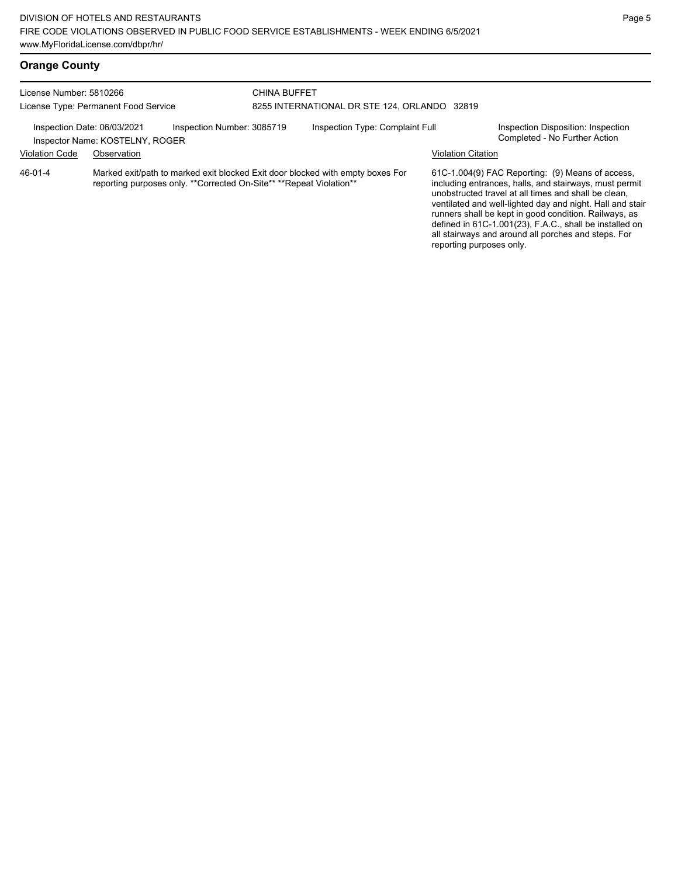| License Number: 5810266<br>License Type: Permanent Food Service                              |                                                                                                                                                       | <b>CHINA BUFFET</b><br>8255 INTERNATIONAL DR STE 124, ORLANDO 32819 |  |                                 |                           |                                                                                                                                                                                                                                                                                                                                                     |
|----------------------------------------------------------------------------------------------|-------------------------------------------------------------------------------------------------------------------------------------------------------|---------------------------------------------------------------------|--|---------------------------------|---------------------------|-----------------------------------------------------------------------------------------------------------------------------------------------------------------------------------------------------------------------------------------------------------------------------------------------------------------------------------------------------|
| Inspection Number: 3085719<br>Inspection Date: 06/03/2021<br>Inspector Name: KOSTELNY, ROGER |                                                                                                                                                       |                                                                     |  | Inspection Type: Complaint Full |                           | Inspection Disposition: Inspection<br>Completed - No Further Action                                                                                                                                                                                                                                                                                 |
| <b>Violation Code</b>                                                                        | Observation                                                                                                                                           |                                                                     |  |                                 | <b>Violation Citation</b> |                                                                                                                                                                                                                                                                                                                                                     |
| 46-01-4                                                                                      | Marked exit/path to marked exit blocked Exit door blocked with empty boxes For<br>reporting purposes only. **Corrected On-Site** **Repeat Violation** |                                                                     |  |                                 |                           | 61C-1.004(9) FAC Reporting: (9) Means of access,<br>including entrances, halls, and stairways, must permit<br>unobstructed travel at all times and shall be clean,<br>ventilated and well-lighted day and night. Hall and stair<br>runners shall be kept in good condition. Railways, as<br>defined in 61C-1.001(23), F.A.C., shall be installed on |

all stairways and around all porches and steps. For

reporting purposes only.